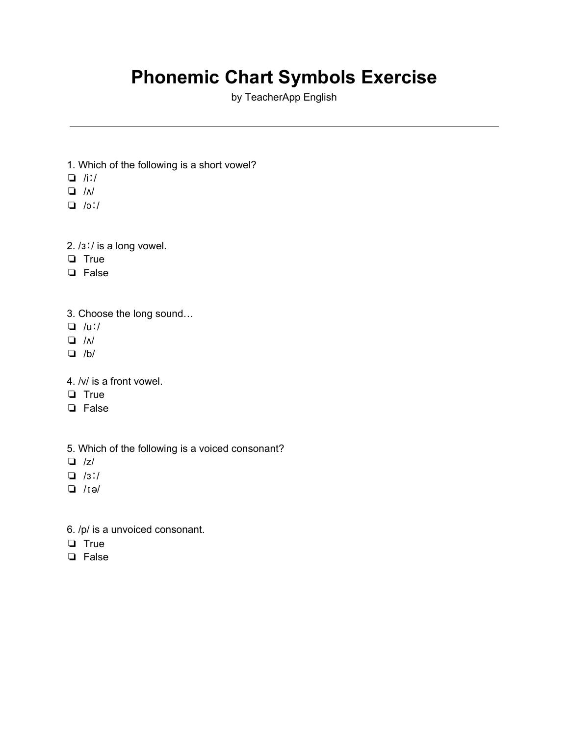## **Phonemic Chart Symbols Exercise**

by TeacherApp English

- 1. Which of the following is a short vowel?
- ❏ /iː/
- ❏ /ʌ/
- ❏ /ɔː/
- 2. /ɜː/ is a long vowel.
- ❏ True
- ❏ False
- 3. Choose the long sound…
- ❏ /uː/
- ❏ /ʌ/
- ❏ /b/
- 4. /v/ is a front vowel.
- ❏ True
- ❏ False
- 5. Which of the following is a voiced consonant?
- ❏ /z/
- ❏ /ɜː/
- ❏ /ɪə/
- 6. /p/ is a unvoiced consonant.
- ❏ True
- ❏ False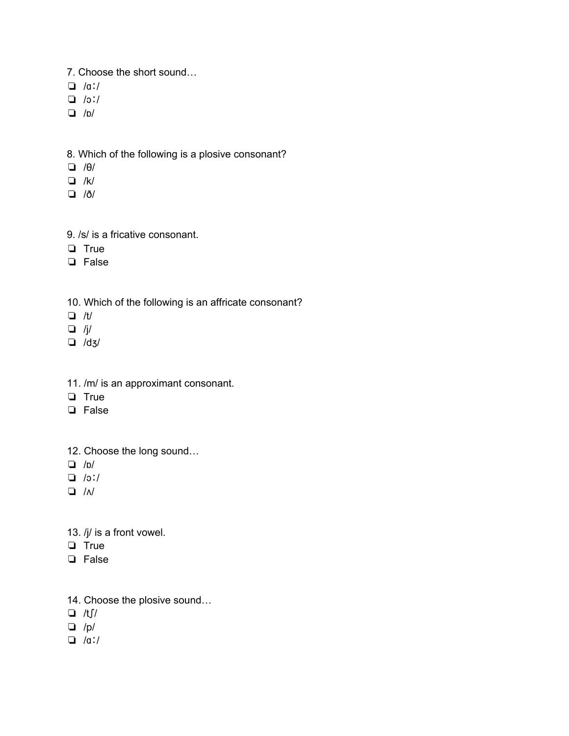- 7. Choose the short sound…
- ❏ /ɑː/
- ❏ /ɔː/
- ❏ /ɒ/
- 8. Which of the following is a plosive consonant?
- ❏ /θ/
- ❏ /k/
- ❏ /ð/
- 9. /s/ is a fricative consonant.
- ❏ True
- ❏ False
- 10. Which of the following is an affricate consonant?
- ❏ /t/
- $\Box$  /j/
- ❏ /dʒ/
- 11. /m/ is an approximant consonant.
- ❏ True
- ❏ False
- 12. Choose the long sound…
- ❏ /ɒ/
- ❏ /ɔː/
- ❏ /ʌ/
- 13. /j/ is a front vowel.
- ❏ True
- ❏ False
- 14. Choose the plosive sound…
- ❏ /tʃ/
- ❏ /p/
- ❏ /ɑː/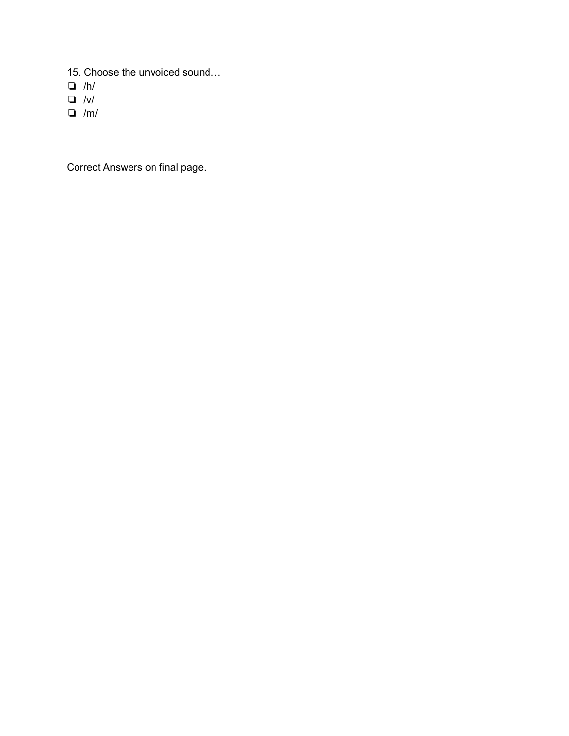- 15. Choose the unvoiced sound…
- ❏ /h/
- ❏ /v/
- ❏ /m/

Correct Answers on final page.